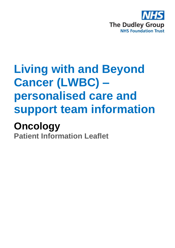

# **Living with and Beyond Cancer (LWBC) – personalised care and support team information**

## **Oncology**

**Patient Information Leaflet**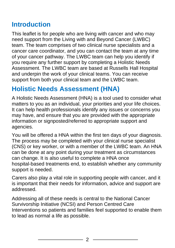## **Introduction**

This leaflet is for people who are living with cancer and who may need support from the Living with and Beyond Cancer (LWBC) team. The team comprises of two clinical nurse specialists and a cancer care coordinator, and you can contact the team at any time of your cancer pathway. The LWBC team can help you identify if you require any further support by completing a Holistic Needs Assessment. The LWBC team are based at Russells Hall Hospital and underpin the work of your clinical teams. You can receive support from both your clinical team and the LWBC team.

## **Holistic Needs Assessment (HNA)**

A Holistic Needs Assessment (HNA) is a tool used to consider what matters to you as an individual, your priorities and your life choices. It can help health professionals identify any issues or concerns you may have, and ensure that you are provided with the appropriate information or signposted/referred to appropriate support and agencies.

You will be offered a HNA within the first ten days of your diagnosis. The process may be completed with your clinical nurse specialist (CNS) or key worker, or with a member of the LWBC team. An HNA can be done at any point during your treatment as circumstances can change. It is also useful to complete a HNA once hospital-based treatments end, to establish whether any community support is needed.

Carers also play a vital role in supporting people with cancer, and it is important that their needs for information, advice and support are addressed.

Addressing all of these needs is central to the National Cancer Survivorship Initiative (NCSI) and Person Centred Care Interventions so patients and families feel supported to enable them to lead as normal a life as possible.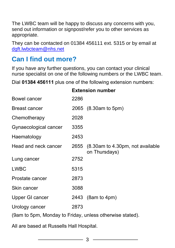The LWBC team will be happy to discuss any concerns with you, send out information or signpost/refer you to other services as appropriate.

They can be contacted on 01384 456111 ext. 5315 or by email at [dgft.lwbcteam@nhs.net](mailto:dgft.lwbcteam@nhs.net)

#### **Can I find out more?**

If you have any further questions, you can contact your clinical nurse specialist on one of the following numbers or the LWBC team.

Dial **01384 456111** plus one of the following extension numbers:

|                       |      | FVILDIAII IIMIINAI                                     |
|-----------------------|------|--------------------------------------------------------|
| <b>Bowel cancer</b>   | 2286 |                                                        |
| <b>Breast cancer</b>  |      | 2065 (8.30am to 5pm)                                   |
| Chemotherapy          | 2028 |                                                        |
| Gynaecological cancer | 3355 |                                                        |
| Haematology           | 2453 |                                                        |
| Head and neck cancer  |      | 2655 (8.30am to 4.30pm, not available<br>on Thursdays) |
| Lung cancer           | 2752 |                                                        |
| <b>LWBC</b>           | 5315 |                                                        |
| Prostate cancer       | 2873 |                                                        |
| Skin cancer           | 3088 |                                                        |
| Upper GI cancer       |      | 2443 (8am to 4pm)                                      |
| Urology cancer        | 2873 |                                                        |
|                       |      |                                                        |

**Extension number**

(9am to 5pm, Monday to Friday, unless otherwise stated).

All are based at Russells Hall Hospital.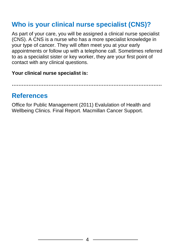## **Who is your clinical nurse specialist (CNS)?**

As part of your care, you will be assigned a clinical nurse specialist (CNS). A CNS is a nurse who has a more specialist knowledge in your type of cancer. They will often meet you at your early appointments or follow up with a telephone call. Sometimes referred to as a specialist sister or key worker, they are your first point of contact with any clinical questions.

#### **Your clinical nurse specialist is:**

**………………………………………………………………………………**

#### **References**

Office for Public Management (2011) Evalulation of Health and Wellbeing Clinics. Final Report. Macmillan Cancer Support.